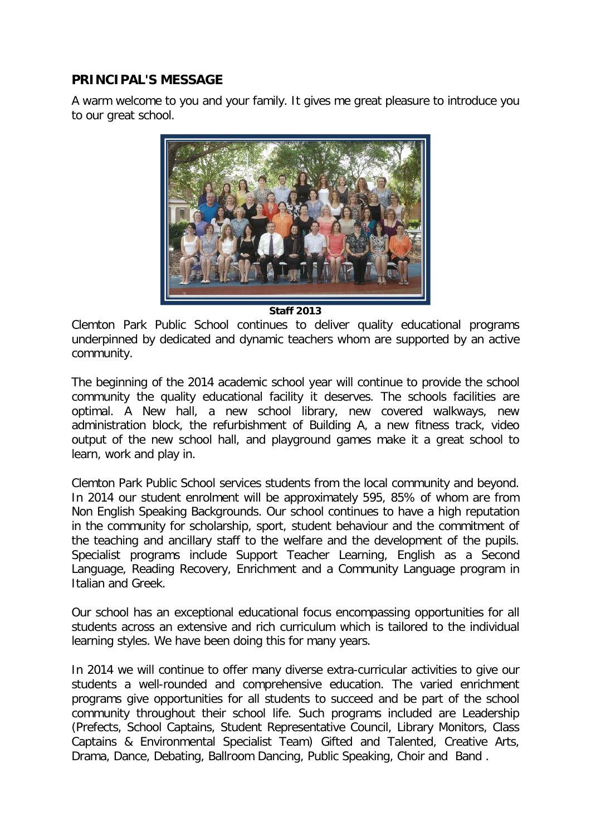## **PRINCIPAL'S MESSAGE**

A warm welcome to you and your family. It gives me great pleasure to introduce you to our great school.



**Staff 2013**

Clemton Park Public School continues to deliver quality educational programs underpinned by dedicated and dynamic teachers whom are supported by an active community.

The beginning of the 2014 academic school year will continue to provide the school community the quality educational facility it deserves. The schools facilities are optimal. A New hall, a new school library, new covered walkways, new administration block, the refurbishment of Building A, a new fitness track, video output of the new school hall, and playground games make it a great school to learn, work and play in.

Clemton Park Public School services students from the local community and beyond. In 2014 our student enrolment will be approximately 595, 85% of whom are from Non English Speaking Backgrounds. Our school continues to have a high reputation in the community for scholarship, sport, student behaviour and the commitment of the teaching and ancillary staff to the welfare and the development of the pupils. Specialist programs include Support Teacher Learning, English as a Second Language, Reading Recovery, Enrichment and a Community Language program in Italian and Greek.

Our school has an exceptional educational focus encompassing opportunities for all students across an extensive and rich curriculum which is tailored to the individual learning styles. We have been doing this for many years.

In 2014 we will continue to offer many diverse extra-curricular activities to give our students a well-rounded and comprehensive education. The varied enrichment programs give opportunities for all students to succeed and be part of the school community throughout their school life. Such programs included are Leadership (Prefects, School Captains, Student Representative Council, Library Monitors, Class Captains & Environmental Specialist Team) Gifted and Talented, Creative Arts, Drama, Dance, Debating, Ballroom Dancing, Public Speaking, Choir and Band .